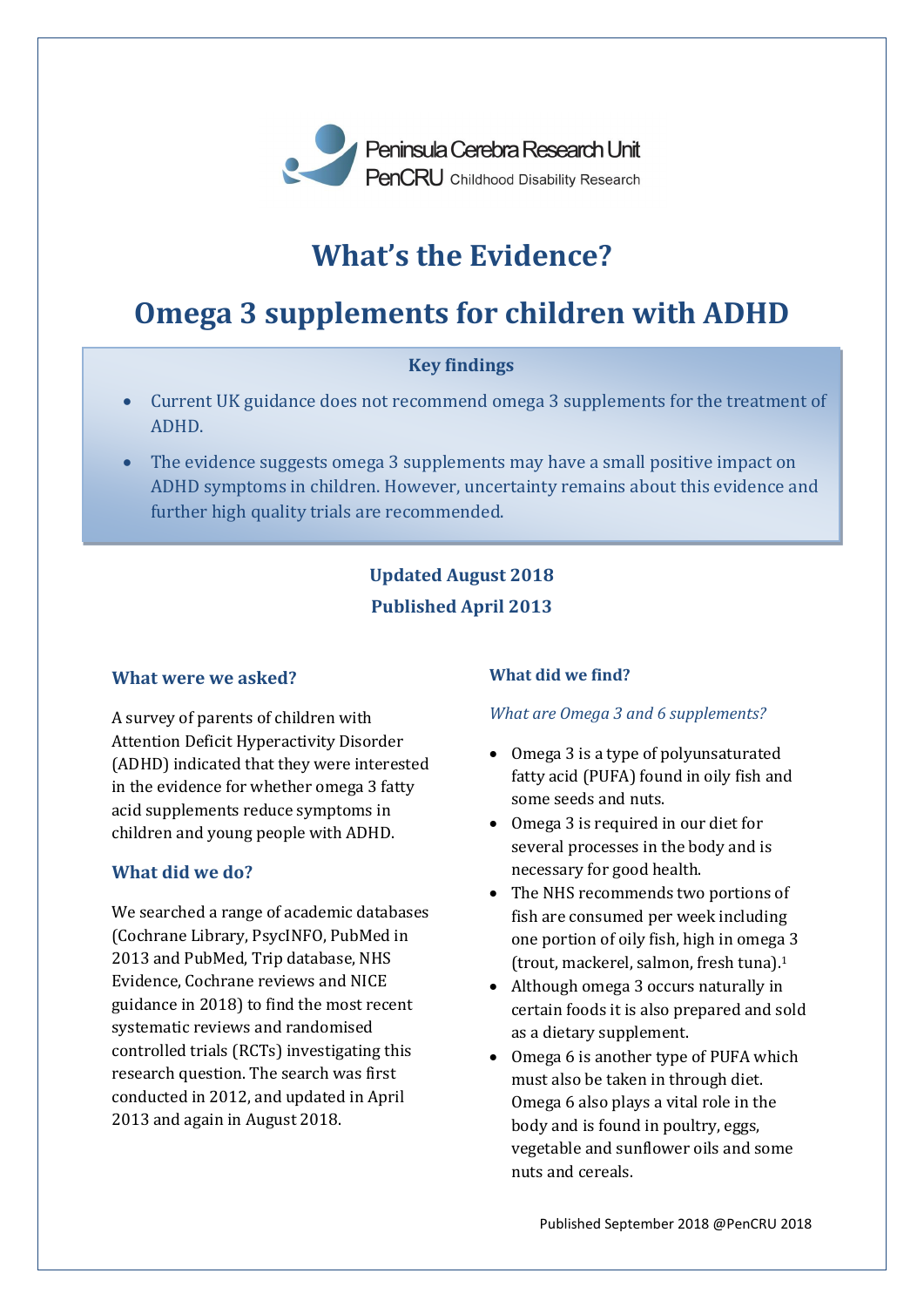

# **What's the Evidence?**

# **Omega 3 supplements for children with ADHD**

## **Key findings**

- Current UK guidance does not recommend omega 3 supplements for the treatment of ADHD.
- The evidence suggests omega 3 supplements may have a small positive impact on ADHD symptoms in children. However, uncertainty remains about this evidence and further high quality trials are recommended.

# **Updated August 2018 Published April 2013**

#### **What were we asked?**

A survey of parents of children with Attention Deficit Hyperactivity Disorder (ADHD) indicated that they were interested in the evidence for whether omega 3 fatty acid supplements reduce symptoms in children and young people with ADHD.

### **What did we do?**

We searched a range of academic databases (Cochrane Library, PsycINFO, PubMed in 2013 and PubMed, Trip database, NHS Evidence, Cochrane reviews and NICE guidance in 2018) to find the most recent systematic reviews and randomised controlled trials (RCTs) investigating this research question. The search was first conducted in 2012, and updated in April 2013 and again in August 2018.

#### **What did we find?**

#### *What are Omega 3 and 6 supplements?*

- Omega 3 is a type of polyunsaturated fatty acid (PUFA) found in oily fish and some seeds and nuts.
- Omega 3 is required in our diet for several processes in the body and is necessary for good health.
- The NHS recommends two portions of fish are consumed per week including one portion of oily fish, high in omega 3 (trout, mackerel, salmon, fresh tuna).<sup>1</sup>
- Although omega 3 occurs naturally in certain foods it is also prepared and sold as a dietary supplement.
- Omega 6 is another type of PUFA which must also be taken in through diet. Omega 6 also plays a vital role in the body and is found in poultry, eggs, vegetable and sunflower oils and some nuts and cereals.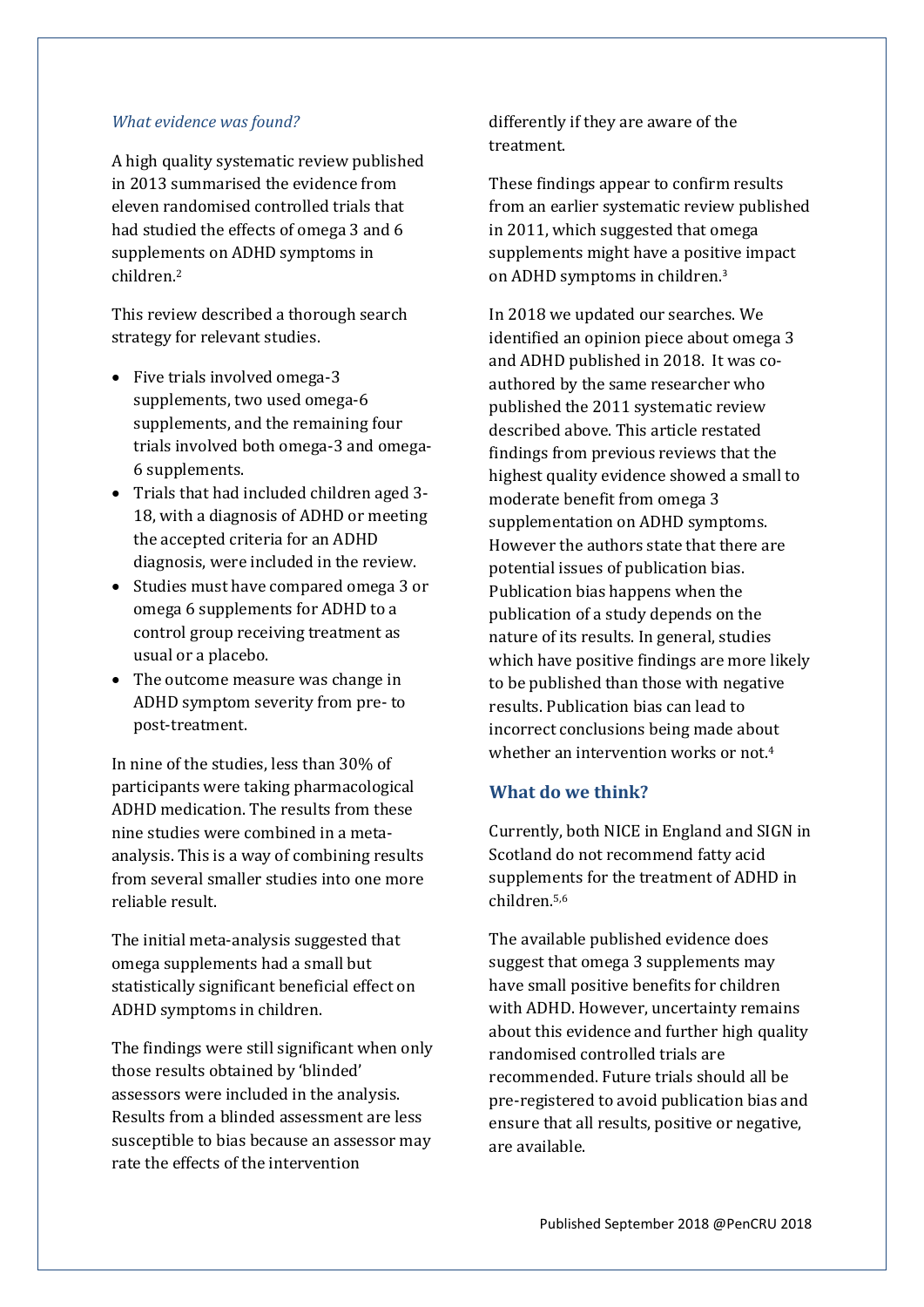#### *What evidence was found?*

A high quality systematic review published in 2013 summarised the evidence from eleven randomised controlled trials that had studied the effects of omega 3 and 6 supplements on ADHD symptoms in children.<sup>2</sup>

This review described a thorough search strategy for relevant studies.

- Five trials involved omega-3 supplements, two used omega-6 supplements, and the remaining four trials involved both omega-3 and omega-6 supplements.
- Trials that had included children aged 3-18, with a diagnosis of ADHD or meeting the accepted criteria for an ADHD diagnosis, were included in the review.
- Studies must have compared omega 3 or omega 6 supplements for ADHD to a control group receiving treatment as usual or a placebo.
- The outcome measure was change in ADHD symptom severity from pre- to post-treatment.

In nine of the studies, less than 30% of participants were taking pharmacological ADHD medication. The results from these nine studies were combined in a metaanalysis. This is a way of combining results from several smaller studies into one more reliable result.

The initial meta-analysis suggested that omega supplements had a small but statistically significant beneficial effect on ADHD symptoms in children.

The findings were still significant when only those results obtained by 'blinded' assessors were included in the analysis. Results from a blinded assessment are less susceptible to bias because an assessor may rate the effects of the intervention

differently if they are aware of the treatment.

These findings appear to confirm results from an earlier systematic review published in 2011, which suggested that omega supplements might have a positive impact on ADHD symptoms in children.<sup>3</sup>

In 2018 we updated our searches. We identified an opinion piece about omega 3 and ADHD published in 2018. It was coauthored by the same researcher who published the 2011 systematic review described above. This article restated findings from previous reviews that the highest quality evidence showed a small to moderate benefit from omega 3 supplementation on ADHD symptoms. However the authors state that there are potential issues of publication bias. Publication bias happens when the publication of a study depends on the nature of its results. In general, studies which have positive findings are more likely to be published than those with negative results. Publication bias can lead to incorrect conclusions being made about whether an intervention works or not.<sup>4</sup>

### **What do we think?**

Currently, both NICE in England and SIGN in Scotland do not recommend fatty acid supplements for the treatment of ADHD in children.5,6

The available published evidence does suggest that omega 3 supplements may have small positive benefits for children with ADHD. However, uncertainty remains about this evidence and further high quality randomised controlled trials are recommended. Future trials should all be pre-registered to avoid publication bias and ensure that all results, positive or negative, are available.